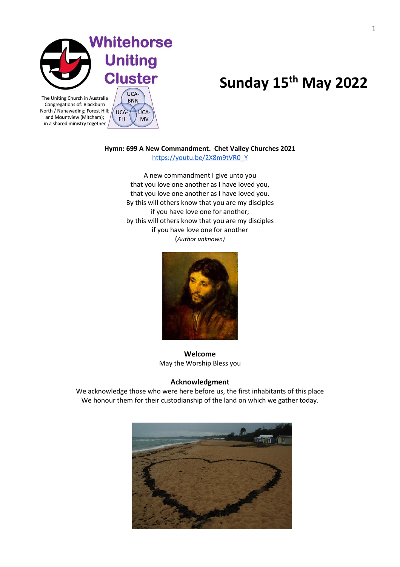

UCA-

 $MV$ 

The Uniting Church in Australia Congregations of: Blackburn North / Nunawading; Forest Hill; UCAand Mountview (Mitcham); FH in a shared ministry together

# **Sunday 15th May 2022**

**Hymn: 699 A New Commandment. Chet Valley Churches 2021** [https://youtu.be/2X8m9tVR0\\_Y](https://youtu.be/2X8m9tVR0_Y)

> A new commandment I give unto you that you love one another as I have loved you, that you love one another as I have loved you. By this will others know that you are my disciples if you have love one for another; by this will others know that you are my disciples if you have love one for another (*Author unknown)*



**Welcome** May the Worship Bless you

## **Acknowledgment**

We acknowledge those who were here before us, the first inhabitants of this place We honour them for their custodianship of the land on which we gather today.

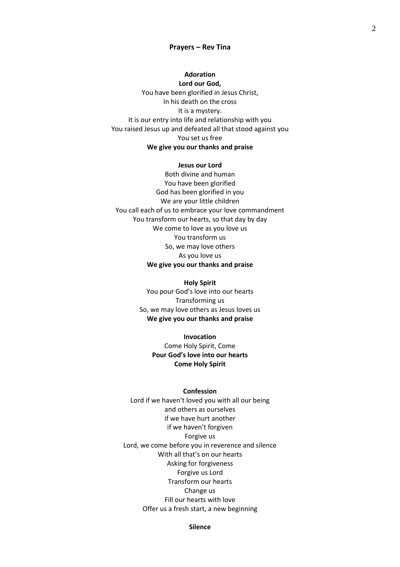## **Prayers – Rev Tina**

**Adoration Lord our God,**  You have been glorified in Jesus Christ, In his death on the cross It is a mystery. It is our entry into life and relationship with you You raised Jesus up and defeated all that stood against you You set us free **We give you our thanks and praise** 

#### **Jesus our Lord**

Both divine and human You have been glorified God has been glorified in you We are your little children You call each of us to embrace your love commandment You transform our hearts, so that day by day We come to love as you love us You transform us So, we may love others As you love us **We give you our thanks and praise** 

> **Holy Spirit** You pour God's love into our hearts Transforming us So, we may love others as Jesus loves us **We give you our thanks and praise**

**Invocation** Come Holy Spirit, Come **Pour God's love into our hearts Come Holy Spirit**

### **Confession**

Lord if we haven't loved you with all our being and others as ourselves if we have hurt another if we haven't forgiven Forgive us Lord, we come before you in reverence and silence With all that's on our hearts Asking for forgiveness Forgive us Lord Transform our hearts Change us Fill our hearts with love Offer us a fresh start, a new beginning

**Silence**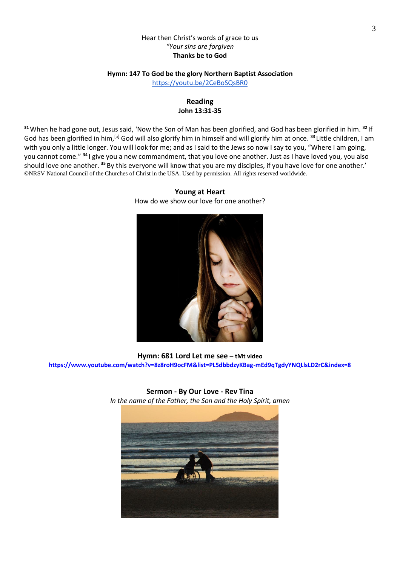## Hear then Christ's words of grace to us *"Your sins are forgiven*  **Thanks be to God**

#### **Hymn: 147 To God be the glory Northern Baptist Association**

<https://youtu.be/2CeBoSQsBR0>

# **Reading John 13:31-35**

**<sup>31</sup>**When he had gone out, Jesus said, 'Now the Son of Man has been glorified, and God has been glorified in him. **<sup>32</sup>** If God has been glorified in him,<sup>[\[a\]](https://www.biblegateway.com/passage/?search=John+13%3A31-35&version=NRSVA#fen-NRSVA-26652a)</sup> God will also glorify him in himself and will glorify him at once. <sup>33</sup> Little children, I am with you only a little longer. You will look for me; and as I said to the Jews so now I say to you, "Where I am going, you cannot come." **<sup>34</sup>** I give you a new commandment, that you love one another. Just as I have loved you, you also should love one another. **<sup>35</sup>** By this everyone will know that you are my disciples, if you have love for one another.' ©NRSV National Council of the Churches of Christ in the USA. Used by permission. All rights reserved worldwide.



**Young at Heart** How do we show our love for one another?

**Hymn: 681 Lord Let me see – tMt video <https://www.youtube.com/watch?v=8z8roH9ocFM&list=PL5dbbdzyKBag-mEd9qTgdyYNQLlsLD2rC&index=8>**



**Sermon - By Our Love - Rev Tina** *In the name of the Father, the Son and the Holy Spirit, amen*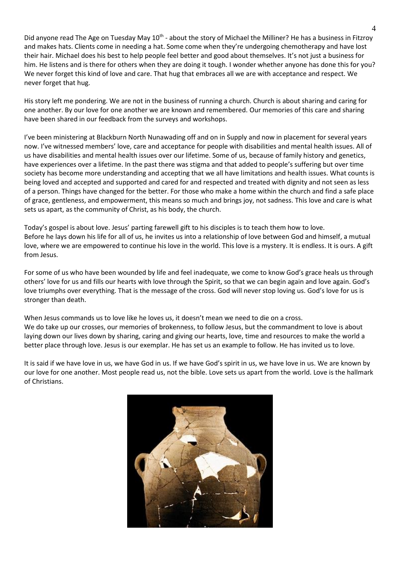Did anyone read The Age on Tuesday May 10<sup>th</sup> - about the story of Michael the Milliner? He has a business in Fitzroy and makes hats. Clients come in needing a hat. Some come when they're undergoing chemotherapy and have lost their hair. Michael does his best to help people feel better and good about themselves. It's not just a business for him. He listens and is there for others when they are doing it tough. I wonder whether anyone has done this for you? We never forget this kind of love and care. That hug that embraces all we are with acceptance and respect. We never forget that hug.

His story left me pondering. We are not in the business of running a church. Church is about sharing and caring for one another. By our love for one another we are known and remembered. Our memories of this care and sharing have been shared in our feedback from the surveys and workshops.

I've been ministering at Blackburn North Nunawading off and on in Supply and now in placement for several years now. I've witnessed members' love, care and acceptance for people with disabilities and mental health issues. All of us have disabilities and mental health issues over our lifetime. Some of us, because of family history and genetics, have experiences over a lifetime. In the past there was stigma and that added to people's suffering but over time society has become more understanding and accepting that we all have limitations and health issues. What counts is being loved and accepted and supported and cared for and respected and treated with dignity and not seen as less of a person. Things have changed for the better. For those who make a home within the church and find a safe place of grace, gentleness, and empowerment, this means so much and brings joy, not sadness. This love and care is what sets us apart, as the community of Christ, as his body, the church.

Today's gospel is about love. Jesus' parting farewell gift to his disciples is to teach them how to love. Before he lays down his life for all of us, he invites us into a relationship of love between God and himself, a mutual love, where we are empowered to continue his love in the world. This love is a mystery. It is endless. It is ours. A gift from Jesus.

For some of us who have been wounded by life and feel inadequate, we come to know God's grace heals us through others' love for us and fills our hearts with love through the Spirit, so that we can begin again and love again. God's love triumphs over everything. That is the message of the cross. God will never stop loving us. God's love for us is stronger than death.

When Jesus commands us to love like he loves us, it doesn't mean we need to die on a cross. We do take up our crosses, our memories of brokenness, to follow Jesus, but the commandment to love is about laying down our lives down by sharing, caring and giving our hearts, love, time and resources to make the world a better place through love. Jesus is our exemplar. He has set us an example to follow. He has invited us to love.

It is said if we have love in us, we have God in us. If we have God's spirit in us, we have love in us. We are known by our love for one another. Most people read us, not the bible. Love sets us apart from the world. Love is the hallmark of Christians.

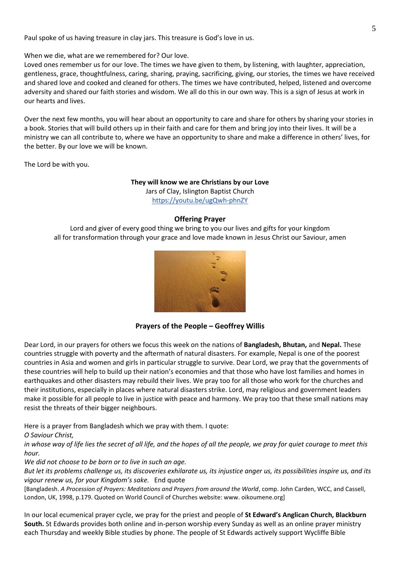Paul spoke of us having treasure in clay jars. This treasure is God's love in us.

When we die, what are we remembered for? Our love.

Loved ones remember us for our love. The times we have given to them, by listening, with laughter, appreciation, gentleness, grace, thoughtfulness, caring, sharing, praying, sacrificing, giving, our stories, the times we have received and shared love and cooked and cleaned for others. The times we have contributed, helped, listened and overcome adversity and shared our faith stories and wisdom. We all do this in our own way. This is a sign of Jesus at work in our hearts and lives.

Over the next few months, you will hear about an opportunity to care and share for others by sharing your stories in a book. Stories that will build others up in their faith and care for them and bring joy into their lives. It will be a ministry we can all contribute to, where we have an opportunity to share and make a difference in others' lives, for the better. By our love we will be known.

The Lord be with you.

# **They will know we are Christians by our Love**

Jars of Clay, Islington Baptist Church <https://youtu.be/ugQwh-phnZY>

# **Offering Prayer**

Lord and giver of every good thing we bring to you our lives and gifts for your kingdom all for transformation through your grace and love made known in Jesus Christ our Saviour, amen



**Prayers of the People – Geoffrey Willis**

Dear Lord, in our prayers for others we focus this week on the nations of **Bangladesh, Bhutan,** and **Nepal.** These countries struggle with poverty and the aftermath of natural disasters. For example, Nepal is one of the poorest countries in Asia and women and girls in particular struggle to survive. Dear Lord, we pray that the governments of these countries will help to build up their nation's economies and that those who have lost families and homes in earthquakes and other disasters may rebuild their lives. We pray too for all those who work for the churches and their institutions, especially in places where natural disasters strike. Lord, may religious and government leaders make it possible for all people to live in justice with peace and harmony. We pray too that these small nations may resist the threats of their bigger neighbours.

Here is a prayer from Bangladesh which we pray with them. I quote:

*O Saviour Christ,*

*in whose way of life lies the secret of all life, and the hopes of all the people, we pray for quiet courage to meet this hour.*

*We did not choose to be born or to live in such an age.*

*But let its problems challenge us, its discoveries exhilarate us, its injustice anger us, its possibilities inspire us, and its vigour renew us, for your Kingdom's sake.* End quote

[Bangladesh. *A Procession of Prayers: Meditations and Prayers from around the World*, comp. John Carden, WCC, and Cassell, London, UK, 1998, p.179. Quoted on World Council of Churches website: www. oikoumene.org]

In our local ecumenical prayer cycle, we pray for the priest and people of **St Edward's Anglican Church, Blackburn South.** St Edwards provides both online and in-person worship every Sunday as well as an online prayer ministry each Thursday and weekly Bible studies by phone. The people of St Edwards actively support Wycliffe Bible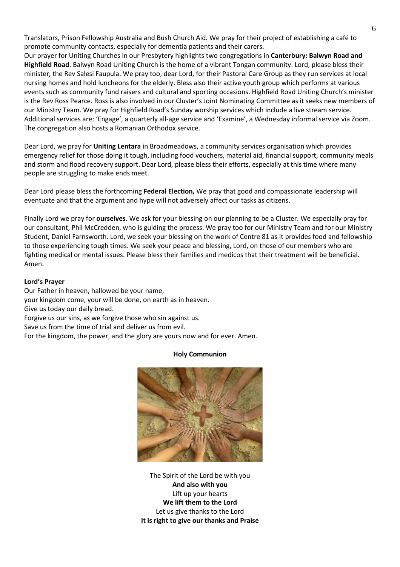Translators, Prison Fellowship Australia and Bush Church Aid. We pray for their project of establishing a café to promote community contacts, especially for dementia patients and their carers.

Our prayer for Uniting Churches in our Presbytery highlights two congregations in **Canterbury: Balwyn Road and Highfield Road**. Balwyn Road Uniting Church is the home of a vibrant Tongan community. Lord, please bless their minister, the Rev Salesi Faupula. We pray too, dear Lord, for their Pastoral Care Group as they run services at local nursing homes and hold luncheons for the elderly. Bless also their active youth group which performs at various events such as community fund raisers and cultural and sporting occasions. Highfield Road Uniting Church's minister is the Rev Ross Pearce. Ross is also involved in our Cluster's Joint Nominating Committee as it seeks new members of our Ministry Team. We pray for Highfield Road's Sunday worship services which include a live stream service. Additional services are: 'Engage', a quarterly all-age service and 'Examine', a Wednesday informal service via Zoom. The congregation also hosts a Romanian Orthodox service.

Dear Lord, we pray for **Uniting Lentara** in Broadmeadows, a community services organisation which provides emergency relief for those doing it tough, including food vouchers, material aid, financial support, community meals and storm and flood recovery support. Dear Lord, please bless their efforts, especially at this time where many people are struggling to make ends meet.

Dear Lord please bless the forthcoming **Federal Election,** We pray that good and compassionate leadership will eventuate and that the argument and hype will not adversely affect our tasks as citizens.

Finally Lord we pray for **ourselves**. We ask for your blessing on our planning to be a Cluster. We especially pray for our consultant, Phil McCredden, who is guiding the process. We pray too for our Ministry Team and for our Ministry Student, Daniel Farnsworth. Lord, we seek your blessing on the work of Centre 81 as it provides food and fellowship to those experiencing tough times. We seek your peace and blessing, Lord, on those of our members who are fighting medical or mental issues. Please bless their families and medicos that their treatment will be beneficial. Amen.

## **Lord's Prayer**

Our Father in heaven, hallowed be your name, your kingdom come, your will be done, on earth as in heaven. Give us today our daily bread. Forgive us our sins, as we forgive those who sin against us. Save us from the time of trial and deliver us from evil. For the kingdom, the power, and the glory are yours now and for ever. Amen.

## **Holy Communion**



The Spirit of the Lord be with you **And also with you** Lift up your hearts **We lift them to the Lord** Let us give thanks to the Lord **It is right to give our thanks and Praise**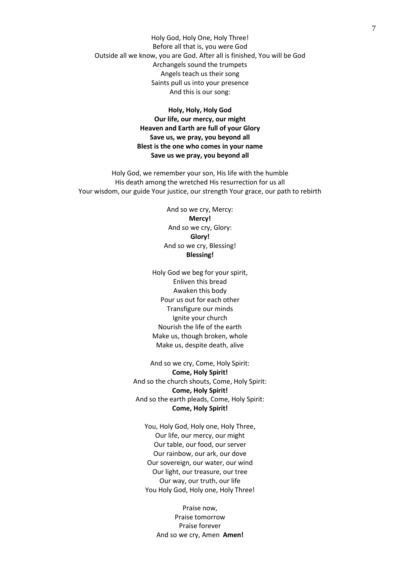Holy God, Holy One, Holy Three! Before all that is, you were God Outside all we know, you are God. After all is finished, You will be God Archangels sound the trumpets Angels teach us their song Saints pull us into your presence And this is our song:

> **Holy, Holy, Holy God Our life, our mercy, our might Heaven and Earth are full of your Glory Save us, we pray, you beyond all Blest is the one who comes in your name Save us we pray, you beyond all**

Holy God, we remember your son, His life with the humble His death among the wretched His resurrection for us all Your wisdom, our guide Your justice, our strength Your grace, our path to rebirth

> And so we cry, Mercy: **Mercy!** And so we cry, Glory: **Glory!** And so we cry, Blessing! **Blessing!**

Holy God we beg for your spirit, Enliven this bread Awaken this body Pour us out for each other Transfigure our minds Ignite your church Nourish the life of the earth Make us, though broken, whole Make us, despite death, alive

And so we cry, Come, Holy Spirit: **Come, Holy Spirit!** And so the church shouts, Come, Holy Spirit: **Come, Holy Spirit!** And so the earth pleads, Come, Holy Spirit: **Come, Holy Spirit!**

You, Holy God, Holy one, Holy Three, Our life, our mercy, our might Our table, our food, our server Our rainbow, our ark, our dove Our sovereign, our water, our wind Our light, our treasure, our tree Our way, our truth, our life You Holy God, Holy one, Holy Three!

Praise now, Praise tomorrow Praise forever And so we cry, Amen **Amen!**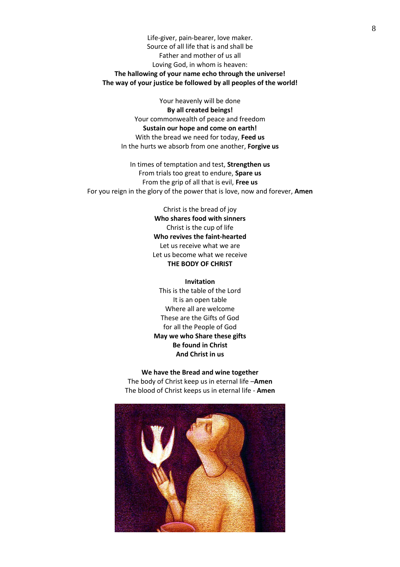Life-giver, pain-bearer, love maker. Source of all life that is and shall be Father and mother of us all Loving God, in whom is heaven: **The hallowing of your name echo through the universe! The way of your justice be followed by all peoples of the world!**

Your heavenly will be done **By all created beings!** Your commonwealth of peace and freedom **Sustain our hope and come on earth!** With the bread we need for today, **Feed us** In the hurts we absorb from one another, **Forgive us**

In times of temptation and test, **Strengthen us** From trials too great to endure, **Spare us** From the grip of all that is evil, **Free us** For you reign in the glory of the power that is love, now and forever, **Amen**

> Christ is the bread of joy **Who shares food with sinners** Christ is the cup of life **Who revives the faint-hearted** Let us receive what we are Let us become what we receive **THE BODY OF CHRIST**

**Invitation** This is the table of the Lord It is an open table Where all are welcome These are the Gifts of God for all the People of God **May we who Share these gifts Be found in Christ And Christ in us**

**We have the Bread and wine together** The body of Christ keep us in eternal life –**Amen** The blood of Christ keeps us in eternal life - **Amen**

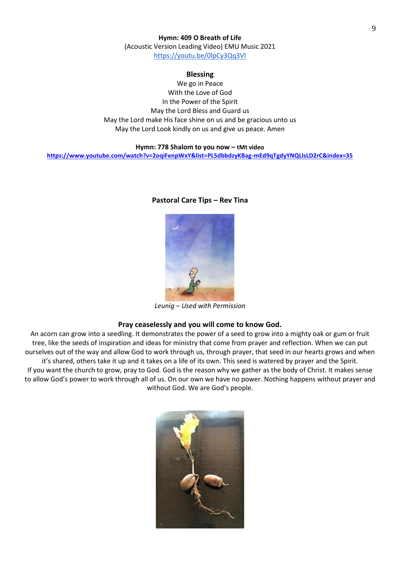# **Hymn: 409 O Breath of Life** (Acoustic Version Leading Video) EMU Music 2021 <https://youtu.be/0lpCy3Qq3VI>

## **Blessing**

We go in Peace With the Love of God In the Power of the Spirit May the Lord Bless and Guard us May the Lord make His face shine on us and be gracious unto us May the Lord Look kindly on us and give us peace. Amen

#### **Hymn: 778 Shalom to you now – tMt video**

**<https://www.youtube.com/watch?v=2oqiFenpWxY&list=PL5dbbdzyKBag-mEd9qTgdyYNQLlsLD2rC&index=35>**



#### **Pastoral Care Tips – Rev Tina**

*Leunig – Used with Permission*

### **Pray ceaselessly and you will come to know God.**

An acorn can grow into a seedling. It demonstrates the power of a seed to grow into a mighty oak or gum or fruit tree, like the seeds of inspiration and ideas for ministry that come from prayer and reflection. When we can put ourselves out of the way and allow God to work through us, through prayer, that seed in our hearts grows and when it's shared, others take it up and it takes on a life of its own. This seed is watered by prayer and the Spirit. If you want the church to grow, pray to God. God is the reason why we gather as the body of Christ. It makes sense to allow God's power to work through all of us. On our own we have no power. Nothing happens without prayer and without God. We are God's people.